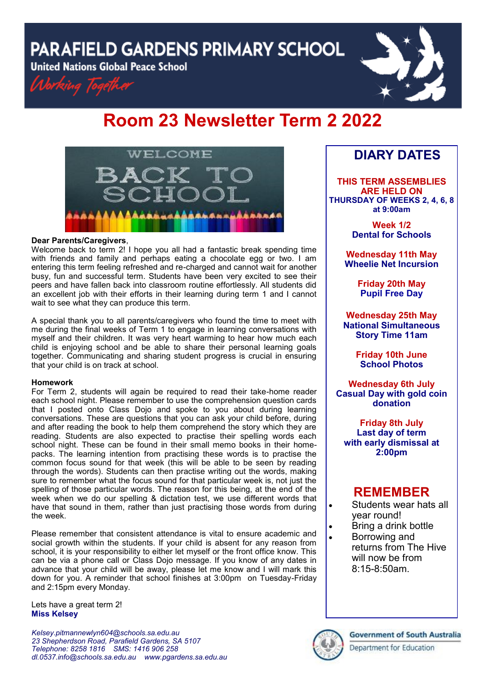**PARAFIELD GARDENS PRIMARY SCHOOL** 

**United Nations Global Peace School** 



# **Room 23 Newsletter Term 2 2022**



#### **Dear Parents/Caregivers**,

Welcome back to term 2! I hope you all had a fantastic break spending time with friends and family and perhaps eating a chocolate egg or two. I am entering this term feeling refreshed and re-charged and cannot wait for another busy, fun and successful term. Students have been very excited to see their peers and have fallen back into classroom routine effortlessly. All students did an excellent job with their efforts in their learning during term 1 and I cannot wait to see what they can produce this term.

A special thank you to all parents/caregivers who found the time to meet with me during the final weeks of Term 1 to engage in learning conversations with myself and their children. It was very heart warming to hear how much each child is enjoying school and be able to share their personal learning goals together. Communicating and sharing student progress is crucial in ensuring that your child is on track at school.

#### **Homework**

For Term 2, students will again be required to read their take-home reader each school night. Please remember to use the comprehension question cards that I posted onto Class Dojo and spoke to you about during learning conversations. These are questions that you can ask your child before, during and after reading the book to help them comprehend the story which they are reading. Students are also expected to practise their spelling words each school night. These can be found in their small memo books in their homepacks. The learning intention from practising these words is to practise the common focus sound for that week (this will be able to be seen by reading through the words). Students can then practise writing out the words, making sure to remember what the focus sound for that particular week is, not just the spelling of those particular words. The reason for this being, at the end of the week when we do our spelling & dictation test, we use different words that have that sound in them, rather than just practising those words from during the week.

Please remember that consistent attendance is vital to ensure academic and social growth within the students. If your child is absent for any reason from school, it is your responsibility to either let myself or the front office know. This can be via a phone call or Class Dojo message. If you know of any dates in advance that your child will be away, please let me know and I will mark this down for you. A reminder that school finishes at 3:00pm on Tuesday-Friday and 2:15pm every Monday.

Lets have a great term 2! **Miss Kelsey**

*Kelsey.pitmannewlyn604@schools.sa.edu.au 23 Shepherdson Road, Parafield Gardens, SA 5107 Telephone: 8258 1816 [SMS:](http://www.youtube.com/user/ParafieldGR7) 1416 906 258 dl[.0537.info@schools.sa.edu.au](mailto:dl.0537_info@schools.sa.edu.au) www.pgardens.sa.edu.au*

## **DIARY DATES**

**THIS TERM ASSEMBLIES ARE HELD ON THURSDAY OF WEEKS 2, 4, 6, 8 at 9:00am** 

> **Week 1/2 Dental for Schools**

**Wednesday 11th May Wheelie Net Incursion**

> **Friday 20th May Pupil Free Day**

**Wednesday 25th May National Simultaneous Story Time 11am**

> **Friday 10th June School Photos**

**Wednesday 6th July Casual Day with gold coin donation**

**Friday 8th July Last day of term with early dismissal at 2:00pm**

### **REMEMBER**

- Students wear hats all year round!
- Bring a drink bottle
- Borrowing and returns from The Hive will now be from 8:15-8:50am.



#### **Government of South Australia**

Department for Education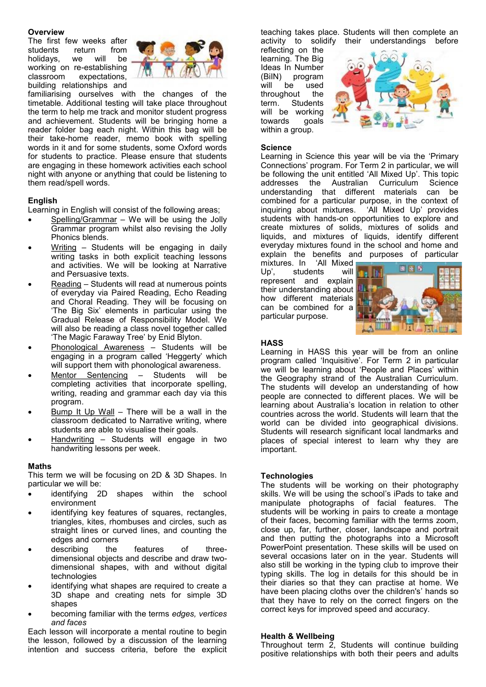#### **Overview**

The first few weeks after students return from holidays, we will be working on re-establishing classroom expectations, building relationships and



familiarising ourselves with the changes of the timetable. Additional testing will take place throughout the term to help me track and monitor student progress and achievement. Students will be bringing home a reader folder bag each night. Within this bag will be their take-home reader, memo book with spelling words in it and for some students, some Oxford words for students to practice. Please ensure that students are engaging in these homework activities each school night with anyone or anything that could be listening to them read/spell words.

#### **English**

Learning in English will consist of the following areas;

- Spelling/Grammar We will be using the Jolly Grammar program whilst also revising the Jolly Phonics blends.
- Writing Students will be engaging in daily writing tasks in both explicit teaching lessons and activities. We will be looking at Narrative and Persuasive texts.
- Reading Students will read at numerous points of everyday via Paired Reading, Echo Reading and Choral Reading. They will be focusing on 'The Big Six' elements in particular using the Gradual Release of Responsibility Model. We will also be reading a class novel together called 'The Magic Faraway Tree' by Enid Blyton.
- Phonological Awareness Students will be engaging in a program called 'Heggerty' which will support them with phonological awareness.
- Mentor Sentencing Students will be completing activities that incorporate spelling, writing, reading and grammar each day via this program.
- Bump It Up Wall There will be a wall in the classroom dedicated to Narrative writing, where students are able to visualise their goals.
- Handwriting Students will engage in two handwriting lessons per week.

#### **Maths**

This term we will be focusing on 2D & 3D Shapes. In particular we will be:

- identifying 2D shapes within the school environment
- identifying key features of squares, rectangles, triangles, kites, rhombuses and circles, such as straight lines or curved lines, and counting the edges and corners
- describing the features of threedimensional objects and describe and draw twodimensional shapes, with and without digital technologies
- identifying what shapes are required to create a 3D shape and creating nets for simple 3D shapes
- becoming familiar with the terms *edges, vertices and faces*

Each lesson will incorporate a mental routine to begin the lesson, followed by a discussion of the learning intention and success criteria, before the explicit teaching takes place. Students will then complete an activity to solidify their understandings before

reflecting on the learning. The Big Ideas In Number (BiIN) program will be used throughout the term. Students will be working towards goals within a group.



#### **Science**

Learning in Science this year will be via the 'Primary Connections' program. For Term 2 in particular, we will be following the unit entitled 'All Mixed Up'. This topic addresses the Australian Curriculum Science understanding that different materials can be combined for a particular purpose, in the context of inquiring about mixtures. 'All Mixed Up' provides students with hands-on opportunities to explore and create mixtures of solids, mixtures of solids and liquids, and mixtures of liquids, identify different everyday mixtures found in the school and home and explain the benefits and purposes of particular

mixtures. In 'All Mixed Up', students will represent and explain their understanding about how different materials can be combined for a particular purpose.



#### **HASS**

Learning in HASS this year will be from an online program called 'Inquisitive'. For Term 2 in particular we will be learning about 'People and Places' within the Geography strand of the Australian Curriculum. The students will develop an understanding of how people are connected to different places. We will be learning about Australia's location in relation to other countries across the world. Students will learn that the world can be divided into geographical divisions. Students will research significant local landmarks and places of special interest to learn why they are important.

#### **Technologies**

The students will be working on their photography skills. We will be using the school's iPads to take and manipulate photographs of facial features. The students will be working in pairs to create a montage of their faces, becoming familiar with the terms zoom, close up, far, further, closer, landscape and portrait and then putting the photographs into a Microsoft PowerPoint presentation. These skills will be used on several occasions later on in the year. Students will also still be working in the typing club to improve their typing skills. The log in details for this should be in their diaries so that they can practise at home. We have been placing cloths over the children's' hands so that they have to rely on the correct fingers on the correct keys for improved speed and accuracy.

#### **Health & Wellbeing**

Throughout term  $2$ , Students will continue building positive relationships with both their peers and adults